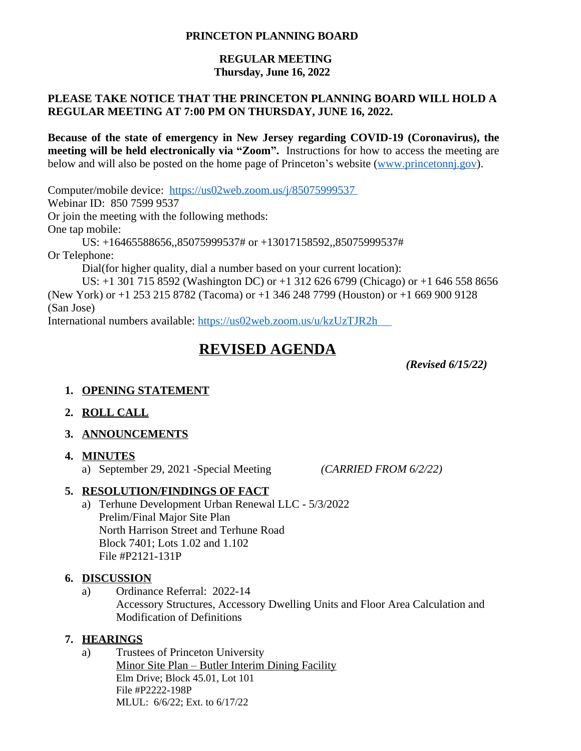#### **PRINCETON PLANNING BOARD**

### **REGULAR MEETING Thursday, June 16, 2022**

#### **PLEASE TAKE NOTICE THAT THE PRINCETON PLANNING BOARD WILL HOLD A REGULAR MEETING AT 7:00 PM ON THURSDAY, JUNE 16, 2022.**

**Because of the state of emergency in New Jersey regarding COVID-19 (Coronavirus), the meeting will be held electronically via "Zoom".** Instructions for how to access the meeting are below and will also be posted on the home page of Princeton's website ([www.princetonnj.gov\)](http://www.princetonnj.gov).

Computer/mobile device: <https://us02web.zoom.us/j/85075999537> Webinar ID: 850 7599 9537 Or join the meeting with the following methods: One tap mobile: US: +16465588656,,85075999537# or +13017158592,,85075999537# Or Telephone: Dial(for higher quality, dial a number based on your current location):

US: +1 301 715 8592 (Washington DC) or +1 312 626 6799 (Chicago) or +1 646 558 8656 (New York) or +1 253 215 8782 (Tacoma) or +1 346 248 7799 (Houston) or +1 669 900 9128 (San Jose)

International numbers available: <https://us02web.zoom.us/u/kzUzTJR2h>

# **REVISED AGENDA**

*(Revised 6/15/22)*

#### **1. OPENING STATEMENT**

- **2. ROLL CALL**
- **3. ANNOUNCEMENTS**
- **4. MINUTES**
	- a) September 29, 2021 -Special Meeting *(CARRIED FROM 6/2/22)*

#### **5. RESOLUTION/FINDINGS OF FACT**

a) Terhune Development Urban Renewal LLC - 5/3/2022 Prelim/Final Major Site Plan North Harrison Street and Terhune Road Block 7401; Lots 1.02 and 1.102 File #P2121-131P

#### **6. DISCUSSION**

a) Ordinance Referral: 2022-14 Accessory Structures, Accessory Dwelling Units and Floor Area Calculation and Modification of Definitions

#### **7. HEARINGS**

a) Trustees of Princeton University

Minor Site Plan – Butler Interim Dining Facility Elm Drive; Block 45.01, Lot 101 File #P2222-198P MLUL: 6/6/22; Ext. to 6/17/22